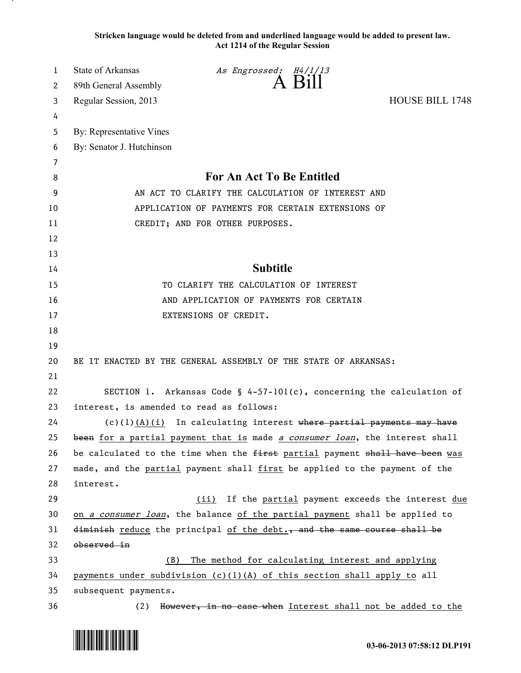**Stricken language would be deleted from and underlined language would be added to present law. Act 1214 of the Regular Session**

| 1  | State of Arkansas                                 | As Engrossed: H4/1/13                                                        |                        |
|----|---------------------------------------------------|------------------------------------------------------------------------------|------------------------|
| 2  | 89th General Assembly                             | A Bill                                                                       |                        |
| 3  | Regular Session, 2013                             |                                                                              | <b>HOUSE BILL 1748</b> |
| 4  |                                                   |                                                                              |                        |
| 5  | By: Representative Vines                          |                                                                              |                        |
| 6  | By: Senator J. Hutchinson                         |                                                                              |                        |
| 7  |                                                   |                                                                              |                        |
| 8  |                                                   | For An Act To Be Entitled                                                    |                        |
| 9  | AN ACT TO CLARIFY THE CALCULATION OF INTEREST AND |                                                                              |                        |
| 10 | APPLICATION OF PAYMENTS FOR CERTAIN EXTENSIONS OF |                                                                              |                        |
| 11 |                                                   | CREDIT; AND FOR OTHER PURPOSES.                                              |                        |
| 12 |                                                   |                                                                              |                        |
| 13 |                                                   |                                                                              |                        |
| 14 |                                                   | <b>Subtitle</b>                                                              |                        |
| 15 |                                                   | TO CLARIFY THE CALCULATION OF INTEREST                                       |                        |
| 16 | AND APPLICATION OF PAYMENTS FOR CERTAIN           |                                                                              |                        |
| 17 |                                                   | EXTENSIONS OF CREDIT.                                                        |                        |
| 18 |                                                   |                                                                              |                        |
| 19 |                                                   |                                                                              |                        |
| 20 |                                                   | BE IT ENACTED BY THE GENERAL ASSEMBLY OF THE STATE OF ARKANSAS:              |                        |
| 21 |                                                   |                                                                              |                        |
| 22 |                                                   | SECTION 1. Arkansas Code § $4-57-101(c)$ , concerning the calculation of     |                        |
| 23 | interest, is amended to read as follows:          |                                                                              |                        |
| 24 |                                                   | $(c)(1)$ $(A)(i)$ In calculating interest where partial payments may have    |                        |
| 25 |                                                   | been for a partial payment that is made a consumer loan, the interest shall  |                        |
| 26 |                                                   | be calculated to the time when the first partial payment shall have been was |                        |
| 27 |                                                   | made, and the partial payment shall first be applied to the payment of the   |                        |
| 28 | interest.                                         |                                                                              |                        |
| 29 |                                                   | If the partial payment exceeds the interest due<br>(ii)                      |                        |
| 30 |                                                   | on a consumer loan, the balance of the partial payment shall be applied to   |                        |
| 31 |                                                   | diminish reduce the principal of the debt., and the same course shall be     |                        |
| 32 | observed in                                       |                                                                              |                        |
| 33 | (B)                                               | The method for calculating interest and applying                             |                        |
| 34 |                                                   | payments under subdivision $(c)(1)(A)$ of this section shall apply to all    |                        |
| 35 | subsequent payments.                              |                                                                              |                        |
| 36 | (2)                                               | However, in no case when Interest shall not be added to the                  |                        |